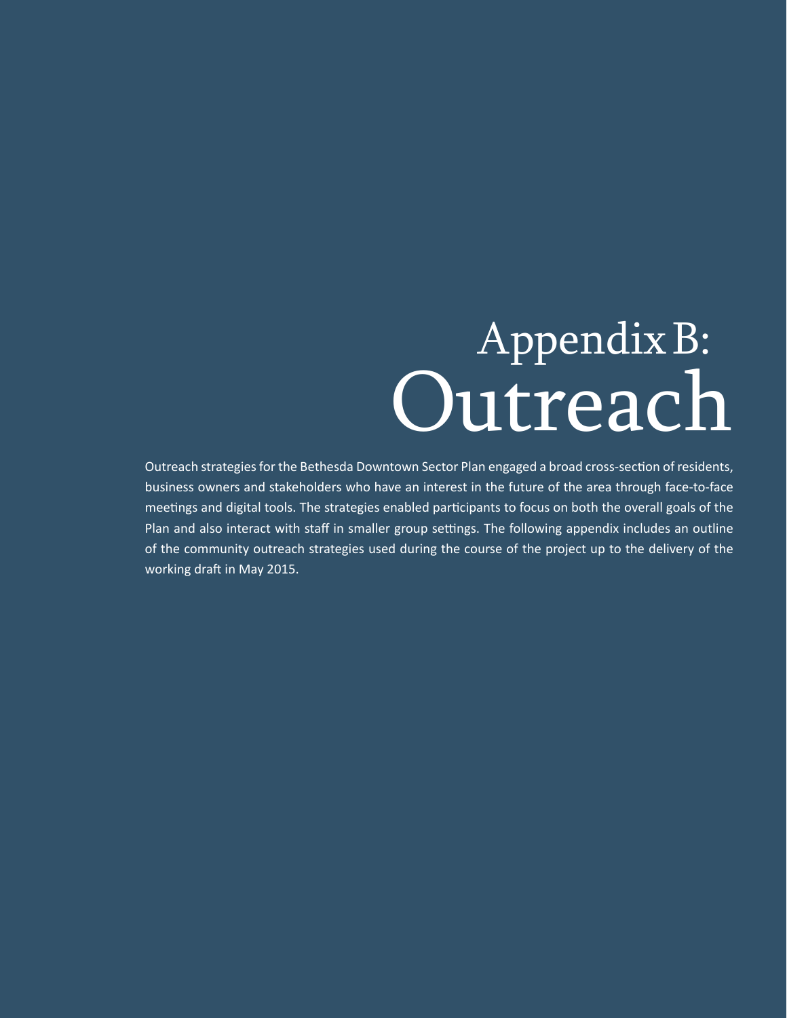# AppendixB: Outreach

Outreach strategies for the Bethesda Downtown Sector Plan engaged a broad cross-section of residents, business owners and stakeholders who have an interest in the future of the area through face-to-face meetings and digital tools. The strategies enabled participants to focus on both the overall goals of the Plan and also interact with staff in smaller group settings. The following appendix includes an outline of the community outreach strategies used during the course of the project up to the delivery of the working draft in May 2015.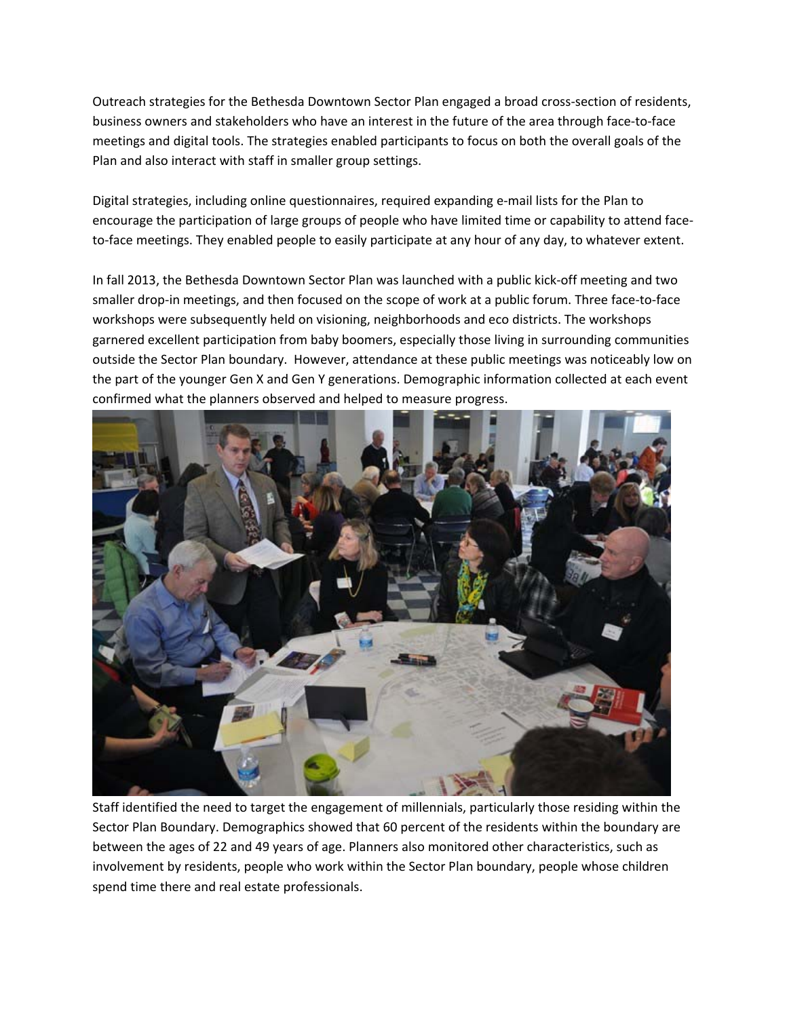Outreach strategies for the Bethesda Downtown Sector Plan engaged a broad cross‐section of residents, business owners and stakeholders who have an interest in the future of the area through face‐to‐face meetings and digital tools. The strategies enabled participants to focus on both the overall goals of the Plan and also interact with staff in smaller group settings.

Digital strategies, including online questionnaires, required expanding e-mail lists for the Plan to encourage the participation of large groups of people who have limited time or capability to attend face‐ to-face meetings. They enabled people to easily participate at any hour of any day, to whatever extent.

In fall 2013, the Bethesda Downtown Sector Plan was launched with a public kick‐off meeting and two smaller drop-in meetings, and then focused on the scope of work at a public forum. Three face-to-face workshops were subsequently held on visioning, neighborhoods and eco districts. The workshops garnered excellent participation from baby boomers, especially those living in surrounding communities outside the Sector Plan boundary. However, attendance at these public meetings was noticeably low on the part of the younger Gen X and Gen Y generations. Demographic information collected at each event confirmed what the planners observed and helped to measure progress.



Staff identified the need to target the engagement of millennials, particularly those residing within the Sector Plan Boundary. Demographics showed that 60 percent of the residents within the boundary are between the ages of 22 and 49 years of age. Planners also monitored other characteristics, such as involvement by residents, people who work within the Sector Plan boundary, people whose children spend time there and real estate professionals.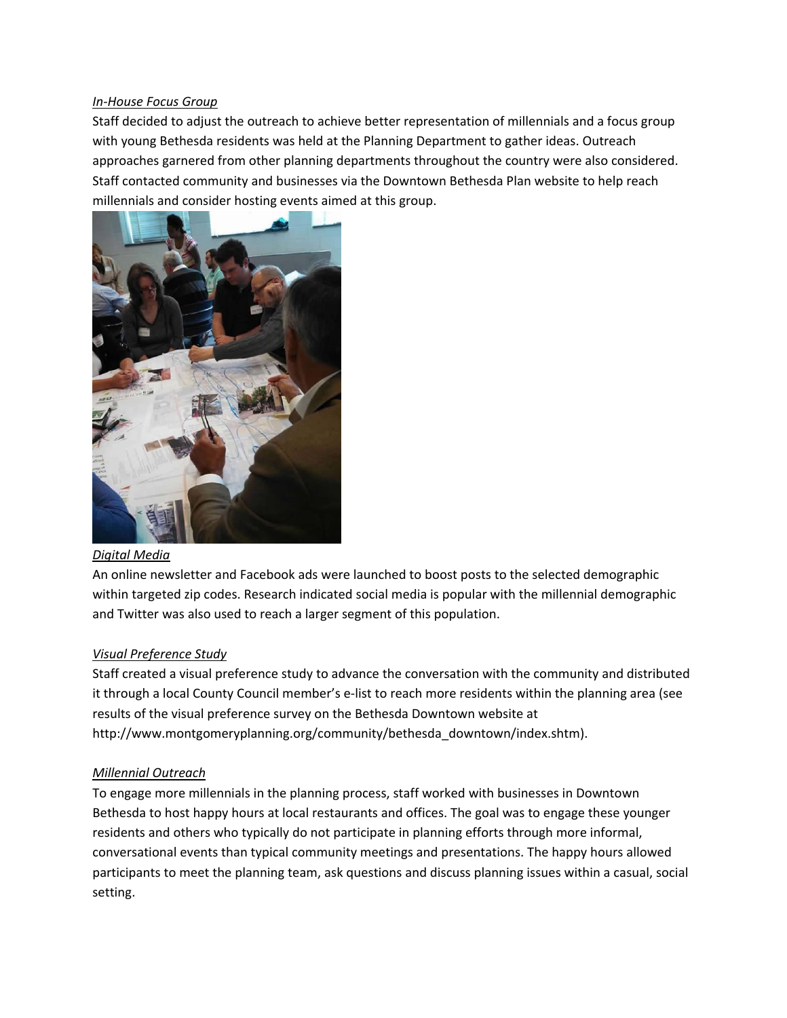# *In‐House Focus Group*

Staff decided to adjust the outreach to achieve better representation of millennials and a focus group with young Bethesda residents was held at the Planning Department to gather ideas. Outreach approaches garnered from other planning departments throughout the country were also considered. Staff contacted community and businesses via the Downtown Bethesda Plan website to help reach millennials and consider hosting events aimed at this group.



# *Digital Media*

An online newsletter and Facebook ads were launched to boost posts to the selected demographic within targeted zip codes. Research indicated social media is popular with the millennial demographic and Twitter was also used to reach a larger segment of this population.

# *Visual Preference Study*

Staff created a visual preference study to advance the conversation with the community and distributed it through a local County Council member's e‐list to reach more residents within the planning area (see results of the visual preference survey on the Bethesda Downtown website at http://www.montgomeryplanning.org/community/bethesda\_downtown/index.shtm).

# *Millennial Outreach*

To engage more millennials in the planning process, staff worked with businesses in Downtown Bethesda to host happy hours at local restaurants and offices. The goal was to engage these younger residents and others who typically do not participate in planning efforts through more informal, conversational events than typical community meetings and presentations. The happy hours allowed participants to meet the planning team, ask questions and discuss planning issues within a casual, social setting.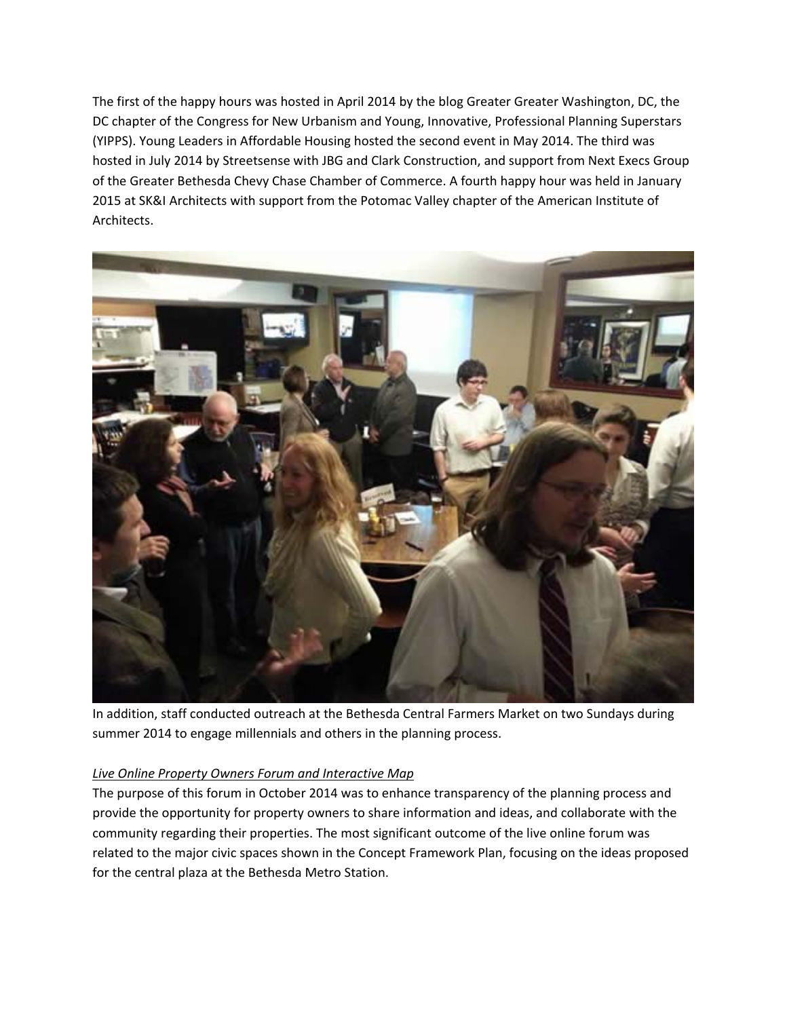The first of the happy hours was hosted in April 2014 by the blog Greater Greater Washington, DC, the DC chapter of the Congress for New Urbanism and Young, Innovative, Professional Planning Superstars (YIPPS). Young Leaders in Affordable Housing hosted the second event in May 2014. The third was hosted in July 2014 by Streetsense with JBG and Clark Construction, and support from Next Execs Group of the Greater Bethesda Chevy Chase Chamber of Commerce. A fourth happy hour was held in January 2015 at SK&I Architects with support from the Potomac Valley chapter of the American Institute of Architects.



In addition, staff conducted outreach at the Bethesda Central Farmers Market on two Sundays during summer 2014 to engage millennials and others in the planning process.

# *Live Online Property Owners Forum and Interactive Map*

The purpose of this forum in October 2014 was to enhance transparency of the planning process and provide the opportunity for property owners to share information and ideas, and collaborate with the community regarding their properties. The most significant outcome of the live online forum was related to the major civic spaces shown in the Concept Framework Plan, focusing on the ideas proposed for the central plaza at the Bethesda Metro Station.